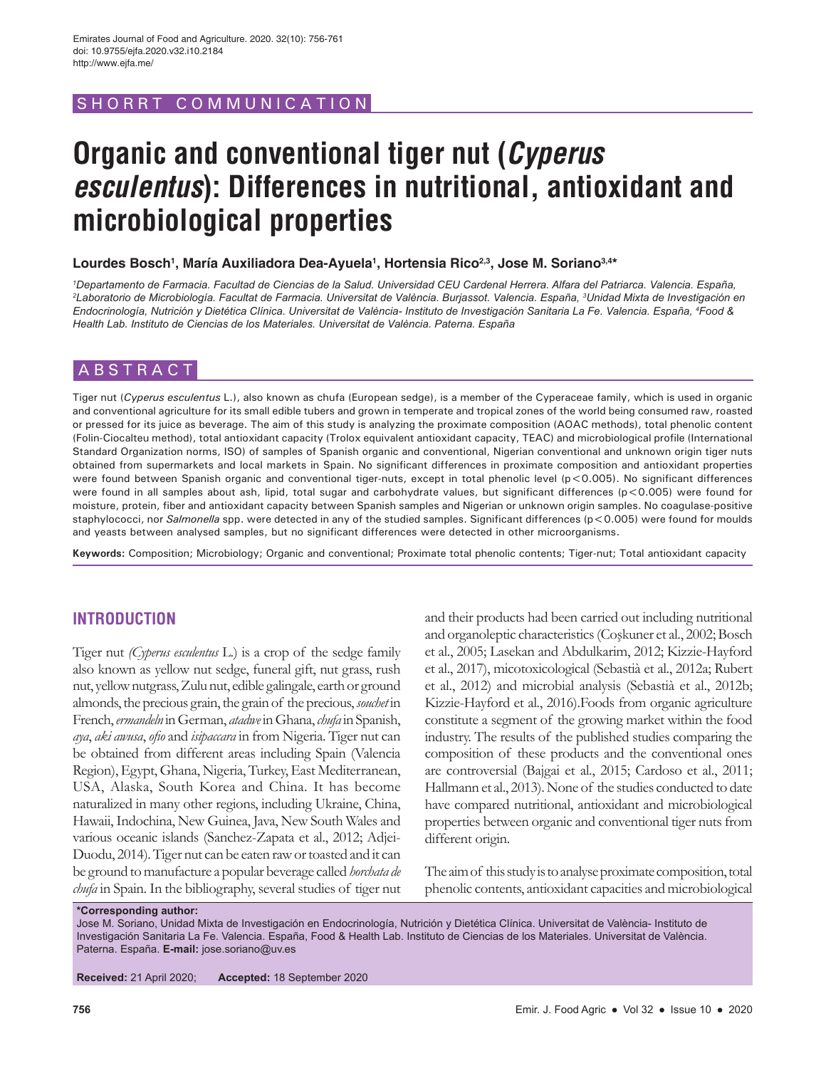# SHORRT COMMUNICATION

# **Organic and conventional tiger nut (***Cyperus esculentus***): Differences in nutritional, antioxidant and microbiological properties**

# **Lourdes Bosch1 , María Auxiliadora Dea-Ayuela1 , Hortensia Rico2,3, Jose M. Soriano3,4\***

*1 Departamento de Farmacia. Facultad de Ciencias de la Salud. Universidad CEU Cardenal Herrera. Alfara del Patriarca. Valencia. España, 2 Laboratorio de Microbiología. Facultat de Farmacia. Universitat de València. Burjassot. Valencia. España, 3 Unidad Mixta de Investigación en Endocrinología, Nutrición y Dietética Clínica. Universitat de València- Instituto de Investigación Sanitaria La Fe. Valencia. España, 4 Food & Health Lab. Instituto de Ciencias de los Materiales. Universitat de València. Paterna. España*

# ABSTRACT

Tiger nut (*Cyperus esculentus* L.), also known as chufa (European sedge), is a member of the Cyperaceae family, which is used in organic and conventional agriculture for its small edible tubers and grown in temperate and tropical zones of the world being consumed raw, roasted or pressed for its juice as beverage. The aim of this study is analyzing the proximate composition (AOAC methods), total phenolic content (Folin-Ciocalteu method), total antioxidant capacity (Trolox equivalent antioxidant capacity, TEAC) and microbiological profile (International Standard Organization norms, ISO) of samples of Spanish organic and conventional, Nigerian conventional and unknown origin tiger nuts obtained from supermarkets and local markets in Spain. No significant differences in proximate composition and antioxidant properties were found between Spanish organic and conventional tiger-nuts, except in total phenolic level (p<0.005). No significant differences were found in all samples about ash, lipid, total sugar and carbohydrate values, but significant differences (p<0.005) were found for moisture, protein, fiber and antioxidant capacity between Spanish samples and Nigerian or unknown origin samples. No coagulase-positive staphylococci, nor *Salmonella* spp. were detected in any of the studied samples. Significant differences (p<0.005) were found for moulds and yeasts between analysed samples, but no significant differences were detected in other microorganisms.

**Keywords:** Composition; Microbiology; Organic and conventional; Proximate total phenolic contents; Tiger-nut; Total antioxidant capacity

# **INTRODUCTION**

Tiger nut *(Cyperus esculentus* L.) is a crop of the sedge family also known as yellow nut sedge, funeral gift, nut grass, rush nut, yellow nutgrass, Zulu nut, edible galingale, earth or ground almonds, the precious grain, the grain of the precious, *souchet* in French, *ermandeln* in German, *atadwe* in Ghana, *chufa* in Spanish, *aya*, *aki awusa*, *ofio* and *isipaccara* in from Nigeria. Tiger nut can be obtained from different areas including Spain (Valencia Region), Egypt, Ghana, Nigeria, Turkey, East Mediterranean, USA, Alaska, South Korea and China. It has become naturalized in many other regions, including Ukraine, China, Hawaii, Indochina, New Guinea, Java, New South Wales and various oceanic islands (Sanchez-Zapata et al., 2012; Adjei-Duodu, 2014). Tiger nut can be eaten raw or toasted and it can be ground to manufacture a popular beverage called *horchata de chufa* in Spain. In the bibliography, several studies of tiger nut and their products had been carried out including nutritional and organoleptic characteristics (Coşkuner et al., 2002; Bosch et al., 2005; Lasekan and Abdulkarim, 2012; Kizzie-Hayford et al., 2017), micotoxicological (Sebastià et al., 2012a; Rubert et al., 2012) and microbial analysis (Sebastià et al., 2012b; Kizzie-Hayford et al., 2016).Foods from organic agriculture constitute a segment of the growing market within the food industry. The results of the published studies comparing the composition of these products and the conventional ones are controversial (Bajgai et al., 2015; Cardoso et al., 2011; Hallmann et al., 2013). None of the studies conducted to date have compared nutritional, antioxidant and microbiological properties between organic and conventional tiger nuts from different origin.

The aim of this study is to analyse proximate composition, total phenolic contents, antioxidant capacities and microbiological

**\*Corresponding author:**

Jose M. Soriano, Unidad Mixta de Investigación en Endocrinología, Nutrición y Dietética Clínica. Universitat de València- Instituto de Investigación Sanitaria La Fe. Valencia. España, Food & Health Lab. Instituto de Ciencias de los Materiales. Universitat de València. Paterna. España. **E-mail:** jose.soriano@uv.es

**Received:** 21 April 2020; **Accepted:** 18 September 2020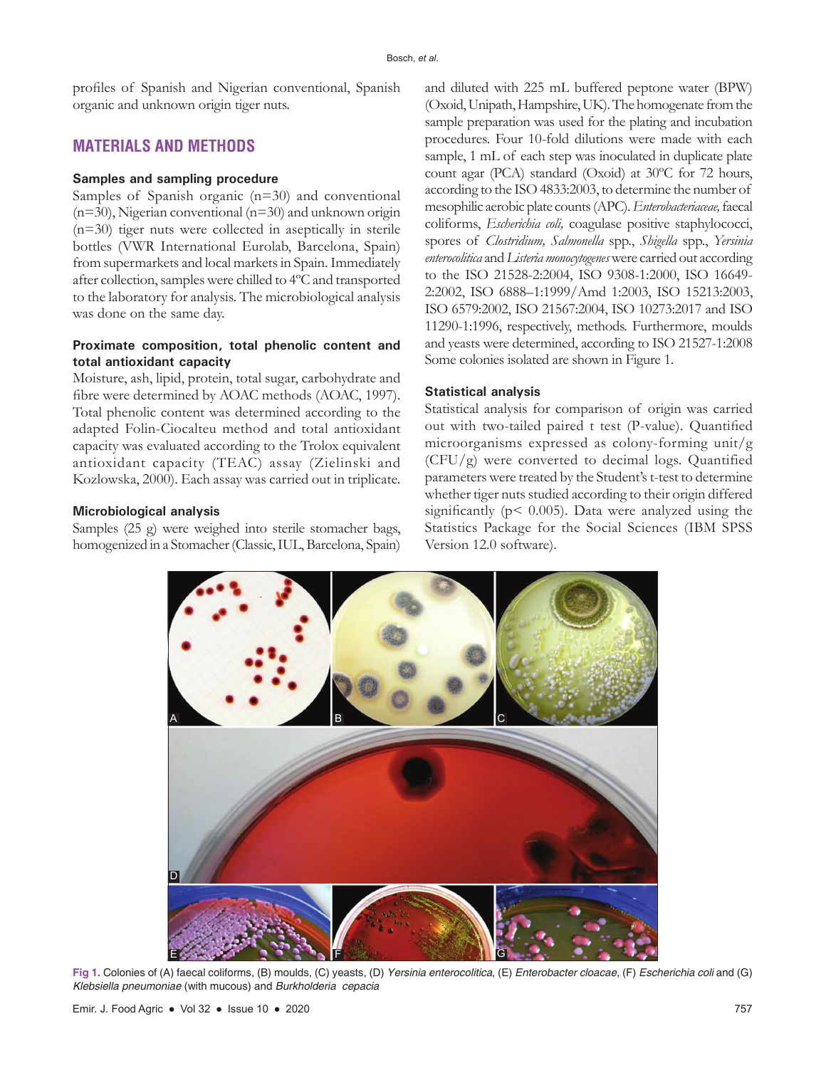profiles of Spanish and Nigerian conventional, Spanish organic and unknown origin tiger nuts.

## **MATERIALS AND METHODS**

## **Samples and sampling procedure**

Samples of Spanish organic (n=30) and conventional  $(n=30)$ , Nigerian conventional  $(n=30)$  and unknown origin (n=30) tiger nuts were collected in aseptically in sterile bottles (VWR International Eurolab, Barcelona, Spain) from supermarkets and local markets in Spain. Immediately after collection, samples were chilled to 4ºC and transported to the laboratory for analysis. The microbiological analysis was done on the same day.

### **Proximate composition, total phenolic content and total antioxidant capacity**

Moisture, ash, lipid, protein, total sugar, carbohydrate and fibre were determined by AOAC methods (AOAC, 1997). Total phenolic content was determined according to the adapted Folin-Ciocalteu method and total antioxidant capacity was evaluated according to the Trolox equivalent antioxidant capacity (TEAC) assay (Zielinski and Kozlowska, 2000). Each assay was carried out in triplicate.

#### **Microbiological analysis**

Samples (25 g) were weighed into sterile stomacher bags, homogenized in a Stomacher (Classic, IUL, Barcelona, Spain) and diluted with 225 mL buffered peptone water (BPW) (Oxoid, Unipath, Hampshire, UK). The homogenate from the sample preparation was used for the plating and incubation procedures. Four 10-fold dilutions were made with each sample, 1 mL of each step was inoculated in duplicate plate count agar (PCA) standard (Oxoid) at 30ºC for 72 hours, according to the ISO 4833:2003, to determine the number of mesophilic aerobic plate counts (APC). *Enterobacteriaceae,* faecal coliforms, *Escherichia coli,* coagulase positive staphylococci, spores of *Clostridium, Salmonella* spp., *Shigella* spp., *Yersinia enterocolitica* and *Listeria monocytogenes* were carried out according to the ISO 21528-2:2004, ISO 9308-1:2000, ISO 16649- 2:2002, ISO 6888–1:1999/Amd 1:2003, ISO 15213:2003, ISO 6579:2002, ISO 21567:2004, ISO 10273:2017 and ISO 11290-1:1996, respectively, methods. Furthermore, moulds and yeasts were determined, according to ISO 21527-1:2008 Some colonies isolated are shown in Figure 1.

## **Statistical analysis**

Statistical analysis for comparison of origin was carried out with two-tailed paired t test (P-value). Quantified microorganisms expressed as colony-forming unit/g (CFU/g) were converted to decimal logs. Quantified parameters were treated by the Student's t-test to determine whether tiger nuts studied according to their origin differed significantly ( $p$ < 0.005). Data were analyzed using the Statistics Package for the Social Sciences (IBM SPSS Version 12.0 software).



**Fig 1.** Colonies of (A) faecal coliforms, (B) moulds, (C) yeasts, (D) *Yersinia enterocolitica*, (E) *Enterobacter cloacae*, (F) *Escherichia coli* and (G) *Klebsiella pneumoniae* (with mucous) and *Burkholderia cepacia*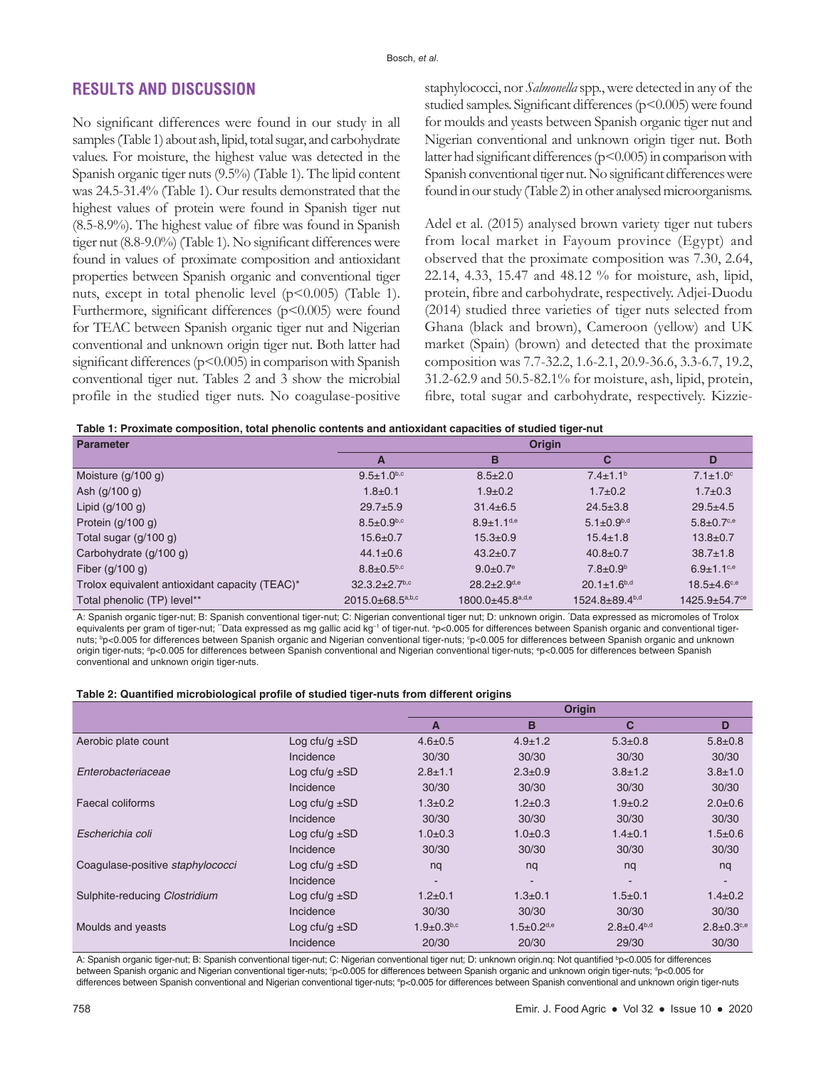# **RESULTS AND DISCUSSION**

No significant differences were found in our study in all samples (Table 1) about ash, lipid, total sugar, and carbohydrate values. For moisture, the highest value was detected in the Spanish organic tiger nuts (9.5%) (Table 1). The lipid content was 24.5-31.4% (Table 1). Our results demonstrated that the highest values of protein were found in Spanish tiger nut (8.5-8.9%). The highest value of fibre was found in Spanish tiger nut (8.8-9.0%) (Table 1). No significant differences were found in values of proximate composition and antioxidant properties between Spanish organic and conventional tiger nuts, except in total phenolic level  $(p<0.005)$  (Table 1). Furthermore, significant differences (p<0.005) were found for TEAC between Spanish organic tiger nut and Nigerian conventional and unknown origin tiger nut. Both latter had significant differences (p<0.005) in comparison with Spanish conventional tiger nut. Tables 2 and 3 show the microbial profile in the studied tiger nuts. No coagulase-positive staphylococci, nor *Salmonella* spp., were detected in any of the studied samples. Significant differences (p<0.005) were found for moulds and yeasts between Spanish organic tiger nut and Nigerian conventional and unknown origin tiger nut. Both latter had significant differences (p<0.005) in comparison with Spanish conventional tiger nut. No significant differences were found in our study (Table 2) in other analysed microorganisms.

Adel et al. (2015) analysed brown variety tiger nut tubers from local market in Fayoum province (Egypt) and observed that the proximate composition was 7.30, 2.64, 22.14, 4.33, 15.47 and 48.12 % for moisture, ash, lipid, protein, fibre and carbohydrate, respectively. Adjei-Duodu (2014) studied three varieties of tiger nuts selected from Ghana (black and brown), Cameroon (yellow) and UK market (Spain) (brown) and detected that the proximate composition was 7.7-32.2, 1.6-2.1, 20.9-36.6, 3.3-6.7, 19.2, 31.2-62.9 and 50.5-82.1% for moisture, ash, lipid, protein, fibre, total sugar and carbohydrate, respectively. Kizzie-

**Table 1: Proximate composition, total phenolic contents and antioxidant capacities of studied tiger-nut** 

| <b>Parameter</b>                               | <b>Origin</b>                 |                              |                            |                            |
|------------------------------------------------|-------------------------------|------------------------------|----------------------------|----------------------------|
|                                                | A                             | в                            | C                          | D                          |
| Moisture $(g/100 g)$                           | $9.5 \pm 1.0^{b,c}$           | $8.5 \pm 2.0$                | $7.4 \pm 1.1$ <sup>b</sup> | $7.1 \pm 1.0$ <sup>c</sup> |
| Ash $(g/100 g)$                                | $1.8 + 0.1$                   | $1.9 + 0.2$                  | $1.7 + 0.2$                | $1.7 + 0.3$                |
| Lipid $(g/100 g)$                              | $29.7 + 5.9$                  | $31.4 \pm 6.5$               | $24.5 + 3.8$               | $29.5 + 4.5$               |
| Protein $(q/100 q)$                            | $8.5 \pm 0.9^{b,c}$           | $8.9 \pm 1.1$ <sup>d,e</sup> | $5.1 \pm 0.9^{b,d}$        | $5.8 + 0.7$ <sub>c,e</sub> |
| Total sugar $(g/100 g)$                        | $15.6 \pm 0.7$                | $15.3 + 0.9$                 | $15.4 \pm 1.8$             | $13.8 + 0.7$               |
| Carbohydrate (g/100 g)                         | $44.1 \pm 0.6$                | $43.2 \pm 0.7$               | $40.8 \pm 0.7$             | $38.7 \pm 1.8$             |
| Fiber $(q/100 q)$                              | $8.8 \pm 0.5^{b,c}$           | $9.0 + 0.7$ <sup>e</sup>     | $7.8 \pm 0.9^{\circ}$      | $6.9 + 1.1$ <sup>c,e</sup> |
| Trolox equivalent antioxidant capacity (TEAC)* | $32.3.2 + 2.7$ <sup>b,c</sup> | $28.2 \pm 2.9$ d,e           | $20.1 \pm 1.6^{b,d}$       | $18.5 + 4.6$ <sub>ce</sub> |
| Total phenolic (TP) level**                    | $2015.0 \pm 68.5^{a,b,c}$     | 1800.0±45.8 <sup>a,d,e</sup> | 1524.8±89.4 <sup>b,d</sup> | 1425.9±54.7 <sup>ce</sup>  |

A: Spanish organic tiger-nut; B: Spanish conventional tiger-nut; C: Nigerian conventional tiger nut; D: unknown origin. Data expressed as micromoles of Trolox equivalents per gram of tiger-nut; "Data expressed as mg gallic acid kg-1 of tiger-nut. ªp<0.005 for differences between Spanish organic and conventional tigernuts; <sup>b</sup>p<0.005 for differences between Spanish organic and Nigerian conventional tiger-nuts; °p<0.005 for differences between Spanish organic and unknown origin tiger-nuts; <sup>d</sup>p<0.005 for differences between Spanish conventional and Nigerian conventional tiger-nuts; <sup>e</sup>p<0.005 for differences between Spanish conventional and unknown origin tiger-nuts.

#### **Table 2: Quantified microbiological profile of studied tiger-nuts from different origins**

|                                  |                    |                     | <b>Origin</b>                |                     |                              |
|----------------------------------|--------------------|---------------------|------------------------------|---------------------|------------------------------|
|                                  |                    | A                   | B                            | $\mathbf{C}$        | D                            |
| Aerobic plate count              | Log cfu/g $\pm$ SD | $4.6 \pm 0.5$       | $4.9 \pm 1.2$                | $5.3 \pm 0.8$       | $5.8 + 0.8$                  |
|                                  | Incidence          | 30/30               | 30/30                        | 30/30               | 30/30                        |
| Enterobacteriaceae               | Log cfu/g $\pm$ SD | $2.8 + 1.1$         | $2.3 \pm 0.9$                | $3.8 \pm 1.2$       | $3.8 + 1.0$                  |
|                                  | Incidence          | 30/30               | 30/30                        | 30/30               | 30/30                        |
| Faecal coliforms                 | Log cfu/g $\pm$ SD | $1.3 + 0.2$         | $1.2 \pm 0.3$                | $1.9 + 0.2$         | $2.0 + 0.6$                  |
|                                  | Incidence          | 30/30               | 30/30                        | 30/30               | 30/30                        |
| Escherichia coli                 | Log cfu/g $\pm$ SD | $1.0 + 0.3$         | $1.0 + 0.3$                  | $1.4 \pm 0.1$       | $1.5 + 0.6$                  |
|                                  | Incidence          | 30/30               | 30/30                        | 30/30               | 30/30                        |
| Coagulase-positive staphylococci | Log cfu/g $\pm$ SD | nq                  | nq                           | nq                  | nq                           |
|                                  | Incidence          |                     | $\overline{\phantom{a}}$     |                     |                              |
| Sulphite-reducing Clostridium    | Log cfu/g $\pm$ SD | $1.2 + 0.1$         | $1.3 \pm 0.1$                | $1.5 + 0.1$         | $1.4 \pm 0.2$                |
|                                  | Incidence          | 30/30               | 30/30                        | 30/30               | 30/30                        |
| Moulds and yeasts                | Log cfu/g $\pm$ SD | $1.9 \pm 0.3^{b,c}$ | $1.5 \pm 0.2$ <sub>d,e</sub> | $2.8 \pm 0.4^{b,d}$ | $2.8 \pm 0.3$ <sub>c,e</sub> |
|                                  | Incidence          | 20/30               | 20/30                        | 29/30               | 30/30                        |

A: Spanish organic tiger-nut; B: Spanish conventional tiger-nut; C: Nigerian conventional tiger nut; D: unknown origin.nq: Not quantified <sup>b</sup>p<0.005 for differences between Spanish organic and Nigerian conventional tiger-nuts; °p<0.005 for differences between Spanish organic and unknown origin tiger-nuts; °p<0.005 for differences between Spanish conventional and Nigerian conventional tiger-nuts; °p<0.005 for differences between Spanish conventional and unknown origin tiger-nuts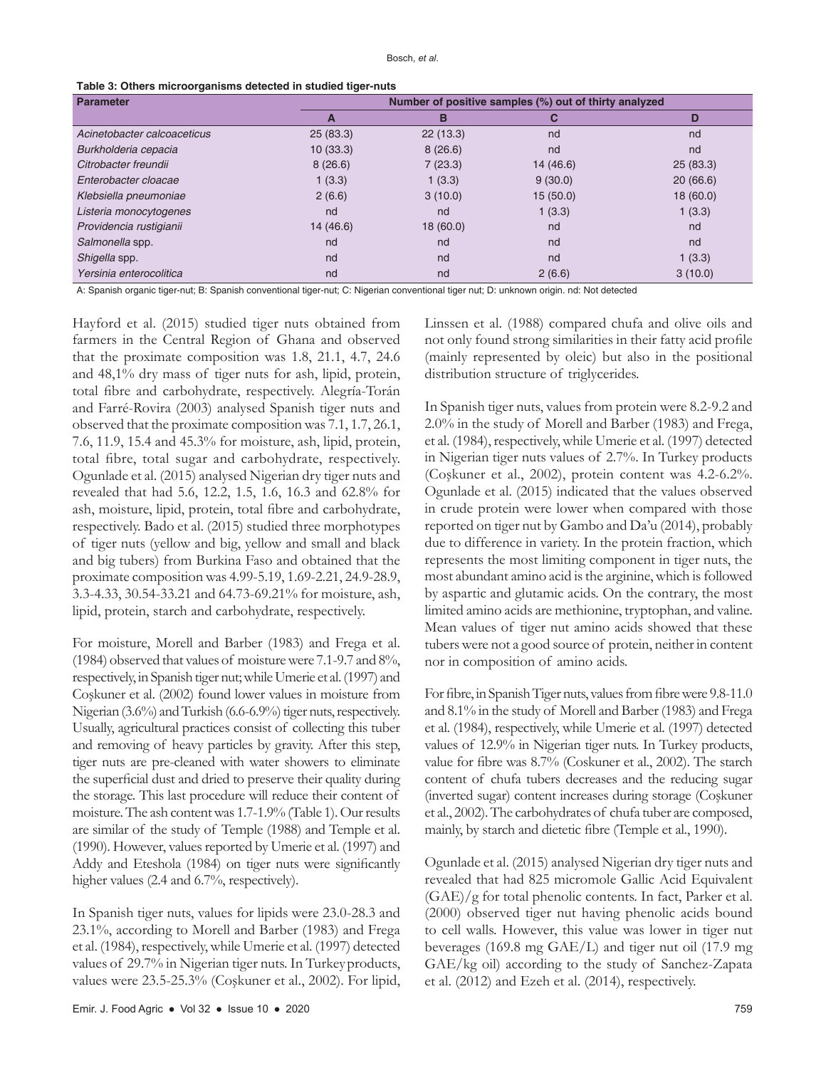| Table 3: Others microorganisms detected in studied tiger-nuts |  |  |
|---------------------------------------------------------------|--|--|
|---------------------------------------------------------------|--|--|

| <b>Parameter</b>            | Number of positive samples (%) out of thirty analyzed |          |           |          |
|-----------------------------|-------------------------------------------------------|----------|-----------|----------|
|                             | A                                                     | в        | C         | D        |
| Acinetobacter calcoaceticus | 25(83.3)                                              | 22(13.3) | nd        | nd       |
| Burkholderia cepacia        | 10(33.3)                                              | 8(26.6)  | nd        | nd       |
| Citrobacter freundii        | 8(26.6)                                               | 7(23.3)  | 14 (46.6) | 25(83.3) |
| Enterobacter cloacae        | 1(3.3)                                                | 1(3.3)   | 9(30.0)   | 20(66.6) |
| Klebsiella pneumoniae       | 2(6.6)                                                | 3(10.0)  | 15(50.0)  | 18(60.0) |
| Listeria monocytogenes      | nd                                                    | nd       | 1(3.3)    | 1(3.3)   |
| Providencia rustigianii     | 14 (46.6)                                             | 18(60.0) | nd        | nd       |
| Salmonella spp.             | nd                                                    | nd       | nd        | nd       |
| Shigella spp.               | nd                                                    | nd       | nd        | 1(3.3)   |
| Yersinia enterocolitica     | nd                                                    | nd       | 2(6.6)    | 3(10.0)  |

A: Spanish organic tiger-nut; B: Spanish conventional tiger-nut; C: Nigerian conventional tiger nut; D: unknown origin. nd: Not detected

Hayford et al. (2015) studied tiger nuts obtained from farmers in the Central Region of Ghana and observed that the proximate composition was 1.8, 21.1, 4.7, 24.6 and 48,1% dry mass of tiger nuts for ash, lipid, protein, total fibre and carbohydrate, respectively. Alegría-Torán and Farré-Rovira (2003) analysed Spanish tiger nuts and observed that the proximate composition was 7.1, 1.7, 26.1, 7.6, 11.9, 15.4 and 45.3% for moisture, ash, lipid, protein, total fibre, total sugar and carbohydrate, respectively. Ogunlade et al. (2015) analysed Nigerian dry tiger nuts and revealed that had 5.6, 12.2, 1.5, 1.6, 16.3 and 62.8% for ash, moisture, lipid, protein, total fibre and carbohydrate, respectively. Bado et al. (2015) studied three morphotypes of tiger nuts (yellow and big, yellow and small and black and big tubers) from Burkina Faso and obtained that the proximate composition was 4.99-5.19, 1.69-2.21, 24.9-28.9, 3.3-4.33, 30.54-33.21 and 64.73-69.21% for moisture, ash, lipid, protein, starch and carbohydrate, respectively.

For moisture, Morell and Barber (1983) and Frega et al. (1984) observed that values of moisture were 7.1-9.7 and 8%, respectively, in Spanish tiger nut; while Umerie et al. (1997) and Coşkuner et al. (2002) found lower values in moisture from Nigerian (3.6%) and Turkish (6.6-6.9%) tiger nuts, respectively. Usually, agricultural practices consist of collecting this tuber and removing of heavy particles by gravity. After this step, tiger nuts are pre-cleaned with water showers to eliminate the superficial dust and dried to preserve their quality during the storage. This last procedure will reduce their content of moisture. The ash content was 1.7-1.9% (Table 1). Our results are similar of the study of Temple (1988) and Temple et al. (1990). However, values reported by Umerie et al. (1997) and Addy and Eteshola (1984) on tiger nuts were significantly higher values (2.4 and 6.7%, respectively).

In Spanish tiger nuts, values for lipids were 23.0-28.3 and 23.1%, according to Morell and Barber (1983) and Frega et al. (1984), respectively, while Umerie et al. (1997) detected values of 29.7% in Nigerian tiger nuts. In Turkeyproducts, values were 23.5-25.3% (Coşkuner et al., 2002). For lipid, Linssen et al. (1988) compared chufa and olive oils and not only found strong similarities in their fatty acid profile (mainly represented by oleic) but also in the positional distribution structure of triglycerides.

In Spanish tiger nuts, values from protein were 8.2-9.2 and 2.0% in the study of Morell and Barber (1983) and Frega, et al. (1984), respectively, while Umerie et al. (1997) detected in Nigerian tiger nuts values of 2.7%. In Turkey products (Coşkuner et al., 2002), protein content was 4.2-6.2%. Ogunlade et al. (2015) indicated that the values observed in crude protein were lower when compared with those reported on tiger nut by Gambo and Da'u (2014), probably due to difference in variety. In the protein fraction, which represents the most limiting component in tiger nuts, the most abundant amino acid is the arginine, which is followed by aspartic and glutamic acids. On the contrary, the most limited amino acids are methionine, tryptophan, and valine. Mean values of tiger nut amino acids showed that these tubers were not a good source of protein, neither in content nor in composition of amino acids.

For fibre, in Spanish Tiger nuts, values from fibre were 9.8-11.0 and 8.1% in the study of Morell and Barber (1983) and Frega et al. (1984), respectively, while Umerie et al. (1997) detected values of 12.9% in Nigerian tiger nuts. In Turkey products, value for fibre was 8.7% (Coskuner et al., 2002). The starch content of chufa tubers decreases and the reducing sugar (inverted sugar) content increases during storage (Coşkuner et al., 2002). The carbohydrates of chufa tuber are composed, mainly, by starch and dietetic fibre (Temple et al., 1990).

Ogunlade et al. (2015) analysed Nigerian dry tiger nuts and revealed that had 825 micromole Gallic Acid Equivalent (GAE)/g for total phenolic contents. In fact, Parker et al. (2000) observed tiger nut having phenolic acids bound to cell walls. However, this value was lower in tiger nut beverages (169.8 mg GAE/L) and tiger nut oil (17.9 mg GAE/kg oil) according to the study of Sanchez-Zapata et al. (2012) and Ezeh et al. (2014), respectively.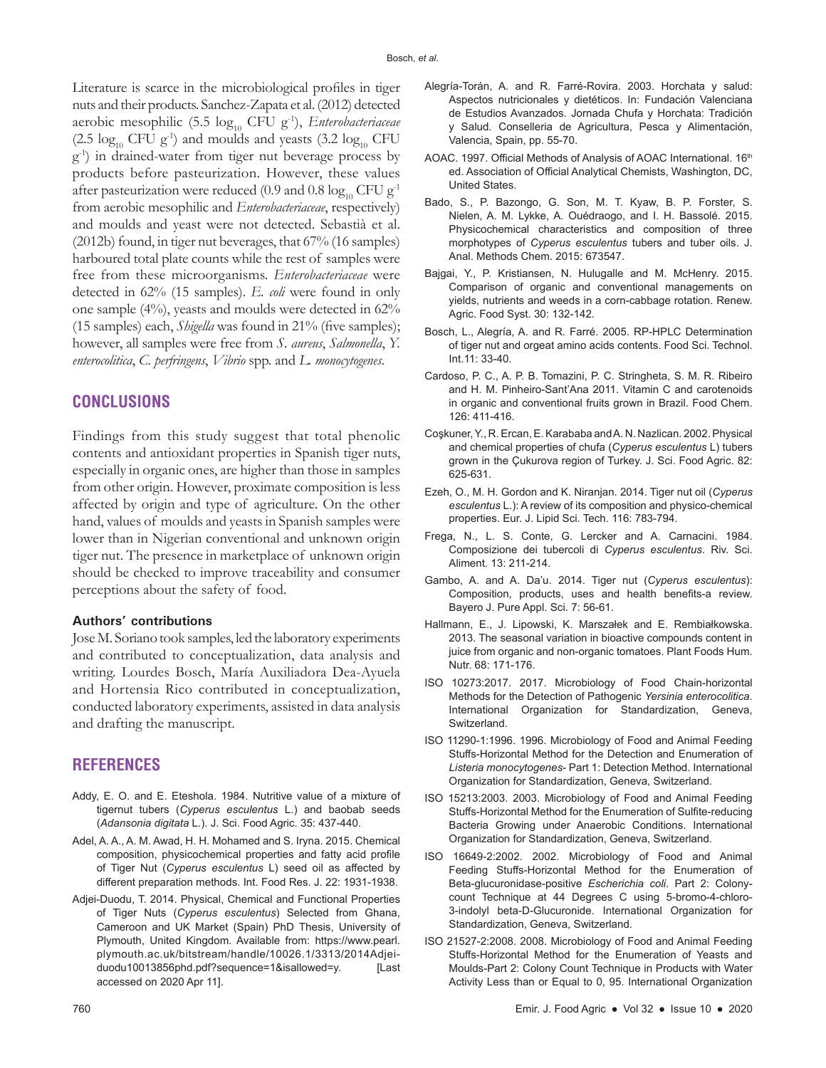Literature is scarce in the microbiological profiles in tiger nuts and their products. Sanchez-Zapata et al. (2012) detected aerobic mesophilic (5.5 log<sub>10</sub> CFU g<sup>-1</sup>), *Enterobacteriaceae*  $(2.5 \text{ log}_{10} \text{CFU g}^{\text{-1}})$  and moulds and yeasts  $(3.2 \text{ log}_{10} \text{CFU})$ g-1) in drained-water from tiger nut beverage process by products before pasteurization. However, these values after pasteurization were reduced (0.9 and 0.8  $log_{10}$  CFU  $g<sup>-1</sup>$ from aerobic mesophilic and *Enterobacteriaceae*, respectively) and moulds and yeast were not detected. Sebastià et al. (2012b) found, in tiger nut beverages, that 67% (16 samples) harboured total plate counts while the rest of samples were free from these microorganisms. *Enterobacteriaceae* were detected in 62% (15 samples). *E. coli* were found in only one sample (4%), yeasts and moulds were detected in 62% (15 samples) each, *Shigella* was found in 21% (five samples); however, all samples were free from *S. aureus*, *Salmonella*, *Y. enterocolitica*, *C. perfringens*, *Vibrio* spp. and *L. monocytogenes*.

## **CONCLUSIONS**

Findings from this study suggest that total phenolic contents and antioxidant properties in Spanish tiger nuts, especially in organic ones, are higher than those in samples from other origin. However, proximate composition is less affected by origin and type of agriculture. On the other hand, values of moulds and yeasts in Spanish samples were lower than in Nigerian conventional and unknown origin tiger nut. The presence in marketplace of unknown origin should be checked to improve traceability and consumer perceptions about the safety of food.

#### **Authors' contributions**

Jose M. Soriano took samples, led the laboratory experiments and contributed to conceptualization, data analysis and writing. Lourdes Bosch, María Auxiliadora Dea-Ayuela and Hortensia Rico contributed in conceptualization, conducted laboratory experiments, assisted in data analysis and drafting the manuscript.

## **REFERENCES**

- Addy, E. O. and E. Eteshola. 1984. Nutritive value of a mixture of tigernut tubers (*Cyperus esculentus* L.) and baobab seeds (*Adansonia digitata* L.). J. Sci. Food Agric. 35: 437-440.
- Adel, A. A., A. M. Awad, H. H. Mohamed and S. Iryna. 2015. Chemical composition, physicochemical properties and fatty acid profile of Tiger Nut (*Cyperus esculentus* L) seed oil as affected by different preparation methods. Int. Food Res. J. 22: 1931-1938.
- Adjei-Duodu, T. 2014. Physical, Chemical and Functional Properties of Tiger Nuts (*Cyperus esculentus*) Selected from Ghana, Cameroon and UK Market (Spain) PhD Thesis, University of Plymouth, United Kingdom. Available from: https://www.pearl. plymouth.ac.uk/bitstream/handle/10026.1/3313/2014Adjeiduodu10013856phd.pdf?sequence=1&isallowed=y. [Last accessed on 2020 Apr 11].
- Alegría-Torán, A. and R. Farré-Rovira. 2003. Horchata y salud: Aspectos nutricionales y dietéticos. In: Fundación Valenciana de Estudios Avanzados. Jornada Chufa y Horchata: Tradición y Salud. Conselleria de Agricultura, Pesca y Alimentación, Valencia, Spain, pp. 55-70.
- AOAC. 1997. Official Methods of Analysis of AOAC International. 16th ed. Association of Official Analytical Chemists, Washington, DC, United States.
- Bado, S., P. Bazongo, G. Son, M. T. Kyaw, B. P. Forster, S. Nielen, A. M. Lykke, A. Ouédraogo, and I. H. Bassolé. 2015. Physicochemical characteristics and composition of three morphotypes of *Cyperus esculentus* tubers and tuber oils. J. Anal. Methods Chem. 2015: 673547.
- Bajgai, Y., P. Kristiansen, N. Hulugalle and M. McHenry. 2015. Comparison of organic and conventional managements on yields, nutrients and weeds in a corn-cabbage rotation. Renew. Agric. Food Syst. 30: 132-142.
- Bosch, L., Alegría, A. and R. Farré. 2005. RP-HPLC Determination of tiger nut and orgeat amino acids contents. Food Sci. Technol. Int.11: 33-40.
- Cardoso, P. C., A. P. B. Tomazini, P. C. Stringheta, S. M. R. Ribeiro and H. M. Pinheiro-Sant'Ana 2011. Vitamin C and carotenoids in organic and conventional fruits grown in Brazil. Food Chem. 126: 411-416.
- Coşkuner, Y., R. Ercan, E. Karababa and A. N. Nazlican. 2002. Physical and chemical properties of chufa (*Cyperus esculentus* L) tubers grown in the Çukurova region of Turkey. J. Sci. Food Agric. 82: 625-631.
- Ezeh, O., M. H. Gordon and K. Niranjan. 2014. Tiger nut oil (*Cyperus esculentus* L.): A review of its composition and physico-chemical properties. Eur. J. Lipid Sci. Tech. 116: 783-794.
- Frega, N., L. S. Conte, G. Lercker and A. Carnacini. 1984. Composizione dei tubercoli di *Cyperus esculentus*. Riv. Sci. Aliment. 13: 211-214.
- Gambo, A. and A. Da'u. 2014. Tiger nut (*Cyperus esculentus*): Composition, products, uses and health benefits-a review. Bayero J. Pure Appl. Sci. 7: 56-61.
- Hallmann, E., J. Lipowski, K. Marszałek and E. Rembiałkowska. 2013. The seasonal variation in bioactive compounds content in juice from organic and non-organic tomatoes. Plant Foods Hum. Nutr. 68: 171-176.
- ISO 10273:2017. 2017. Microbiology of Food Chain-horizontal Methods for the Detection of Pathogenic *Yersinia enterocolitica*. International Organization for Standardization, Geneva, Switzerland.
- ISO 11290-1:1996. 1996. Microbiology of Food and Animal Feeding Stuffs-Horizontal Method for the Detection and Enumeration of *Listeria monocytogenes*- Part 1: Detection Method. International Organization for Standardization, Geneva, Switzerland.
- ISO 15213:2003. 2003. Microbiology of Food and Animal Feeding Stuffs-Horizontal Method for the Enumeration of Sulfite-reducing Bacteria Growing under Anaerobic Conditions. International Organization for Standardization, Geneva, Switzerland.
- ISO 16649-2:2002. 2002. Microbiology of Food and Animal Feeding Stuffs-Horizontal Method for the Enumeration of Beta-glucuronidase-positive *Escherichia coli*. Part 2: Colonycount Technique at 44 Degrees C using 5-bromo-4-chloro-3-indolyl beta-D-Glucuronide. International Organization for Standardization, Geneva, Switzerland.
- ISO 21527-2:2008. 2008. Microbiology of Food and Animal Feeding Stuffs-Horizontal Method for the Enumeration of Yeasts and Moulds-Part 2: Colony Count Technique in Products with Water Activity Less than or Equal to 0, 95. International Organization